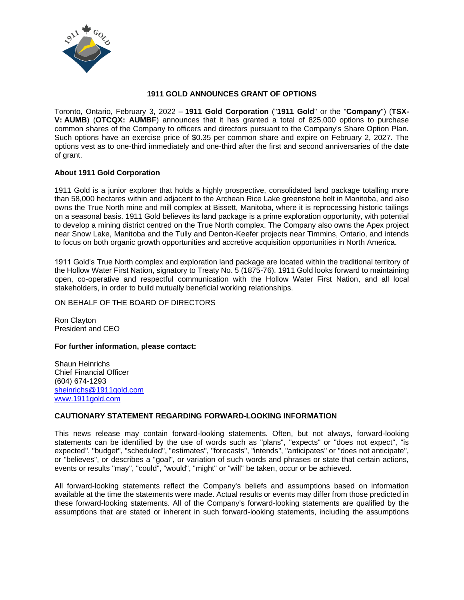

## **1911 GOLD ANNOUNCES GRANT OF OPTIONS**

Toronto, Ontario, February 3, 2022 – **1911 Gold Corporation** ("**1911 Gold**" or the "**Company**") (**TSX-V: AUMB**) (**OTCQX: AUMBF**) announces that it has granted a total of 825,000 options to purchase common shares of the Company to officers and directors pursuant to the Company's Share Option Plan. Such options have an exercise price of \$0.35 per common share and expire on February 2, 2027. The options vest as to one-third immediately and one-third after the first and second anniversaries of the date of grant.

## **About 1911 Gold Corporation**

1911 Gold is a junior explorer that holds a highly prospective, consolidated land package totalling more than 58,000 hectares within and adjacent to the Archean Rice Lake greenstone belt in Manitoba, and also owns the True North mine and mill complex at Bissett, Manitoba, where it is reprocessing historic tailings on a seasonal basis. 1911 Gold believes its land package is a prime exploration opportunity, with potential to develop a mining district centred on the True North complex. The Company also owns the Apex project near Snow Lake, Manitoba and the Tully and Denton-Keefer projects near Timmins, Ontario, and intends to focus on both organic growth opportunities and accretive acquisition opportunities in North America.

1911 Gold's True North complex and exploration land package are located within the traditional territory of the Hollow Water First Nation, signatory to Treaty No. 5 (1875-76). 1911 Gold looks forward to maintaining open, co-operative and respectful communication with the Hollow Water First Nation, and all local stakeholders, in order to build mutually beneficial working relationships.

ON BEHALF OF THE BOARD OF DIRECTORS

Ron Clayton President and CEO

## **For further information, please contact:**

Shaun Heinrichs Chief Financial Officer (604) 674-1293 [sheinrichs@1911gold.com](mailto:sheinrichs@1911gold.com) [www.1911gold.com](http://www.1911gold.com/)

## **CAUTIONARY STATEMENT REGARDING FORWARD-LOOKING INFORMATION**

This news release may contain forward-looking statements. Often, but not always, forward-looking statements can be identified by the use of words such as "plans", "expects" or "does not expect", "is expected", "budget", "scheduled", "estimates", "forecasts", "intends", "anticipates" or "does not anticipate", or "believes", or describes a "goal", or variation of such words and phrases or state that certain actions, events or results "may", "could", "would", "might" or "will" be taken, occur or be achieved.

All forward-looking statements reflect the Company's beliefs and assumptions based on information available at the time the statements were made. Actual results or events may differ from those predicted in these forward-looking statements. All of the Company's forward-looking statements are qualified by the assumptions that are stated or inherent in such forward-looking statements, including the assumptions